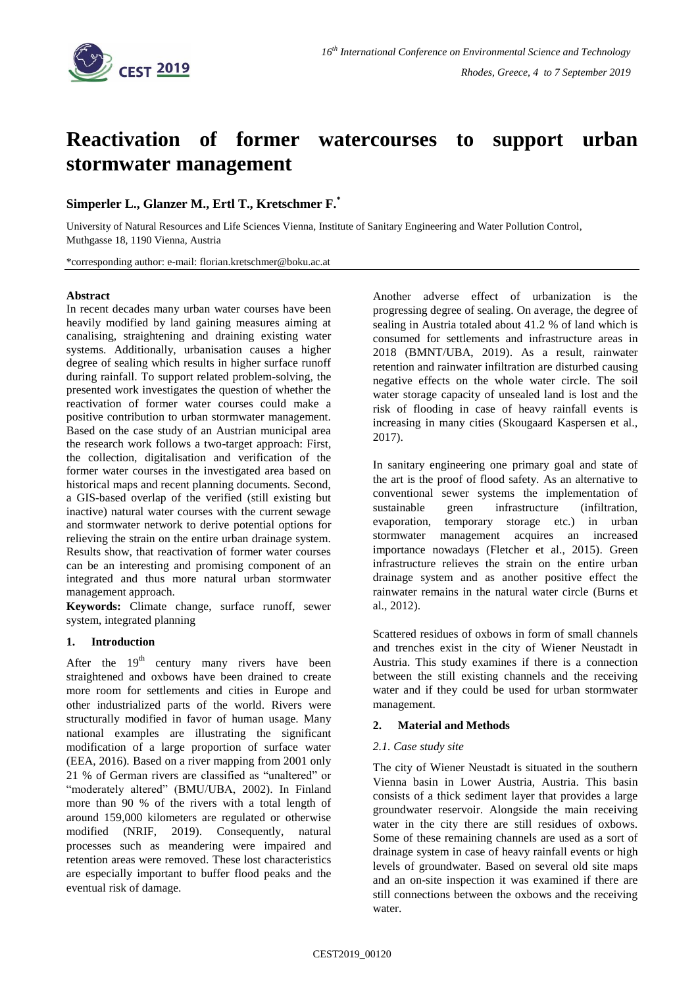

# **Reactivation of former watercourses to support urban stormwater management**

## **Simperler L., Glanzer M., Ertl T., Kretschmer F.\***

University of Natural Resources and Life Sciences Vienna, Institute of Sanitary Engineering and Water Pollution Control, Muthgasse 18, 1190 Vienna, Austria

\*corresponding author: e-mail: florian.kretschmer@boku.ac.at

#### **Abstract**

In recent decades many urban water courses have been heavily modified by land gaining measures aiming at canalising, straightening and draining existing water systems. Additionally, urbanisation causes a higher degree of sealing which results in higher surface runoff during rainfall. To support related problem-solving, the presented work investigates the question of whether the reactivation of former water courses could make a positive contribution to urban stormwater management. Based on the case study of an Austrian municipal area the research work follows a two-target approach: First, the collection, digitalisation and verification of the former water courses in the investigated area based on historical maps and recent planning documents. Second, a GIS-based overlap of the verified (still existing but inactive) natural water courses with the current sewage and stormwater network to derive potential options for relieving the strain on the entire urban drainage system. Results show, that reactivation of former water courses can be an interesting and promising component of an integrated and thus more natural urban stormwater management approach.

**Keywords:** Climate change, surface runoff, sewer system, integrated planning

## **1. Introduction**

After the  $19<sup>th</sup>$  century many rivers have been straightened and oxbows have been drained to create more room for settlements and cities in Europe and other industrialized parts of the world. Rivers were structurally modified in favor of human usage. Many national examples are illustrating the significant modification of a large proportion of surface water (EEA, 2016). Based on a river mapping from 2001 only 21 % of German rivers are classified as "unaltered" or "moderately altered" (BMU/UBA, 2002). In Finland more than 90 % of the rivers with a total length of around 159,000 kilometers are regulated or otherwise modified (NRIF, 2019). Consequently, natural processes such as meandering were impaired and retention areas were removed. These lost characteristics are especially important to buffer flood peaks and the eventual risk of damage.

Another adverse effect of urbanization is the progressing degree of sealing. On average, the degree of sealing in Austria totaled about 41.2 % of land which is consumed for settlements and infrastructure areas in 2018 (BMNT/UBA, 2019). As a result, rainwater retention and rainwater infiltration are disturbed causing negative effects on the whole water circle. The soil water storage capacity of unsealed land is lost and the risk of flooding in case of heavy rainfall events is increasing in many cities (Skougaard Kaspersen et al., 2017).

In sanitary engineering one primary goal and state of the art is the proof of flood safety. As an alternative to conventional sewer systems the implementation of sustainable green infrastructure (infiltration, evaporation, temporary storage etc.) in urban stormwater management acquires an increased importance nowadays (Fletcher et al., 2015). Green infrastructure relieves the strain on the entire urban drainage system and as another positive effect the rainwater remains in the natural water circle (Burns et al., 2012).

Scattered residues of oxbows in form of small channels and trenches exist in the city of Wiener Neustadt in Austria. This study examines if there is a connection between the still existing channels and the receiving water and if they could be used for urban stormwater management.

## **2. Material and Methods**

#### *2.1. Case study site*

The city of Wiener Neustadt is situated in the southern Vienna basin in Lower Austria, Austria. This basin consists of a thick sediment layer that provides a large groundwater reservoir. Alongside the main receiving water in the city there are still residues of oxbows. Some of these remaining channels are used as a sort of drainage system in case of heavy rainfall events or high levels of groundwater. Based on several old site maps and an on-site inspection it was examined if there are still connections between the oxbows and the receiving water.